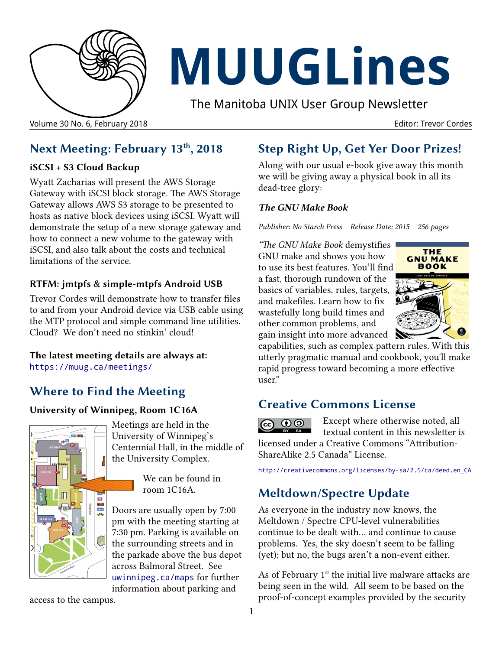

# **MUUGLines**

The Manitoba UNIX User Group Newsletter

# **Next Meeting: February 13th, 2018**

#### **iSCSI + S3 Cloud Backup**

Wyatt Zacharias will present the AWS Storage Gateway with iSCSI block storage. The AWS Storage Gateway allows AWS S3 storage to be presented to hosts as native block devices using iSCSI. Wyatt will demonstrate the setup of a new storage gateway and how to connect a new volume to the gateway with iSCSI, and also talk about the costs and technical limitations of the service.

### **RTFM: jmtpfs & simple-mtpfs Android USB**

Trevor Cordes will demonstrate how to transfer files to and from your Android device via USB cable using the MTP protocol and simple command line utilities. Cloud? We don't need no stinkin' cloud!

#### **The latest meeting details are always at:** [https://muug.ca/meetings/](https://www.muug.mb.ca/meetings/)

# **Where to Find the Meeting**

#### **University of Winnipeg, Room 1C16A**



Meetings are held in the University of Winnipeg's Centennial Hall, in the middle of the University Complex.

> We can be found in room 1C16A.

Doors are usually open by 7:00 pm with the meeting starting at 7:30 pm. Parking is available on the surrounding streets and in the parkade above the bus depot across Balmoral Street. See [uwinnipeg.ca/maps](http://www.uwinnipeg.ca/maps) for further information about parking and

access to the campus.

# **Step Right Up, Get Yer Door Prizes!**

Along with our usual e-book give away this month we will be giving away a physical book in all its dead-tree glory:

#### *The GNU Make Book*

*Publisher: No Starch Press Release Date: 2015 256 pages*

*"The GNU Make Book* demystifies GNU make and shows you how to use its best features. You'll find a fast, thorough rundown of the basics of variables, rules, targets, and makefiles. Learn how to fix wastefully long build times and other common problems, and gain insight into more advanced



capabilities, such as complex pattern rules. With this utterly pragmatic manual and cookbook, you'll make rapid progress toward becoming a more effective user."

## **Creative Commons License**

**C** 00 Except where otherwise noted, all textual content in this newsletter is licensed under a Creative Commons "Attribution-ShareAlike 2.5 Canada" License.

http:/[/creativecommons.org/licenses/by-sa/2.5/ca/deed.en\\_CA](http://creativecommons.org/licenses/by-sa/2.5/ca/deed.en_CA)

# **Meltdown/Spectre Update**

As everyone in the industry now knows, the Meltdown / Spectre CPU-level vulnerabilities continue to be dealt with… and continue to cause problems. Yes, the sky doesn't seem to be falling (yet); but no, the bugs aren't a non-event either.

As of February  $1<sup>st</sup>$  the initial live malware attacks are being seen in the wild. All seem to be based on the proof-of-concept examples provided by the security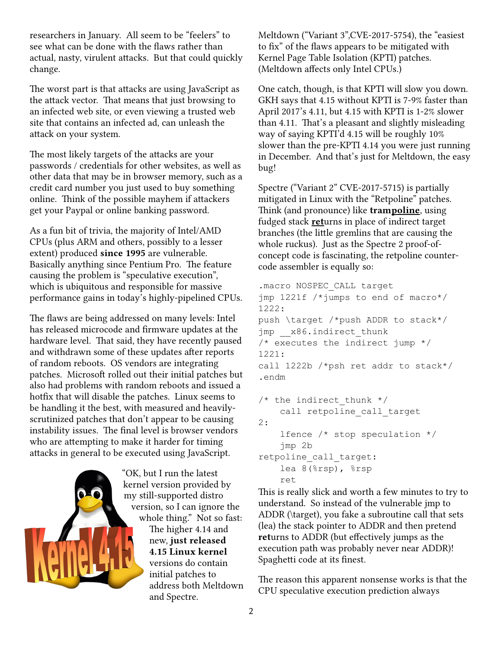researchers in January. All seem to be "feelers" to see what can be done with the flaws rather than actual, nasty, virulent attacks. But that could quickly change.

The worst part is that attacks are using JavaScript as the attack vector. That means that just browsing to an infected web site, or even viewing a trusted web site that contains an infected ad, can unleash the attack on your system.

The most likely targets of the attacks are your passwords / credentials for other websites, as well as other data that may be in browser memory, such as a credit card number you just used to buy something online. Think of the possible mayhem if attackers get your Paypal or online banking password.

As a fun bit of trivia, the majority of Intel/AMD CPUs (plus ARM and others, possibly to a lesser extent) produced **since 1995** are vulnerable. Basically anything since Pentium Pro. The feature causing the problem is "speculative execution", which is ubiquitous and responsible for massive performance gains in today's highly-pipelined CPUs.

The flaws are being addressed on many levels: Intel has released microcode and firmware updates at the hardware level. That said, they have recently paused and withdrawn some of these updates after reports of random reboots. OS vendors are integrating patches. Microsoft rolled out their initial patches but also had problems with random reboots and issued a hotfix that will disable the patches. Linux seems to be handling it the best, with measured and heavilyscrutinized patches that don't appear to be causing instability issues. The final level is browser vendors who are attempting to make it harder for timing attacks in general to be executed using JavaScript.



"OK, but I run the latest kernel version provided by my still-supported distro version, so I can ignore the whole thing." Not so fast: The higher 4.14 and new, **just released 4.15 Linux kernel** versions do contain initial patches to address both Meltdown and Spectre.

Meltdown ("Variant 3",CVE-2017-5754), the "easiest to fix" of the flaws appears to be mitigated with Kernel Page Table Isolation (KPTI) patches. (Meltdown affects only Intel CPUs.)

One catch, though, is that KPTI will slow you down. GKH says that 4.15 without KPTI is 7-9% faster than April 2017's 4.11, but 4.15 with KPTI is 1-2% slower than 4.11. That's a pleasant and slightly misleading way of saying KPTI'd 4.15 will be roughly 10% slower than the pre-KPTI 4.14 you were just running in December. And that's just for Meltdown, the easy bug!

Spectre ("Variant 2" CVE-2017-5715) is partially mitigated in Linux with the "Retpoline" patches. Think (and pronounce) like **trampoline**, using fudged stack **ret**urns in place of indirect target branches (the little gremlins that are causing the whole ruckus). Just as the Spectre 2 proof-ofconcept code is fascinating, the retpoline countercode assembler is equally so:

```
.macro NOSPEC_CALL target
jmp 1221f /*jumps to end of macro*/
1222:
push \target /*push ADDR to stack*/
jmp __x86.indirect_thunk
/* executes the indirect jump */1221:
call 1222b /*psh ret addr to stack*/
.endm
/* the indirect thunk */
```

```
call retpoline call target
2:
     lfence /* stop speculation */
     jmp 2b
retpoline_call_target:
     lea 8(%rsp), %rsp 
     ret
```
This is really slick and worth a few minutes to try to understand. So instead of the vulnerable jmp to ADDR (\target), you fake a subroutine call that sets (lea) the stack pointer to ADDR and then pretend **ret**urns to ADDR (but effectively jumps as the execution path was probably never near ADDR)! Spaghetti code at its finest.

The reason this apparent nonsense works is that the CPU speculative execution prediction always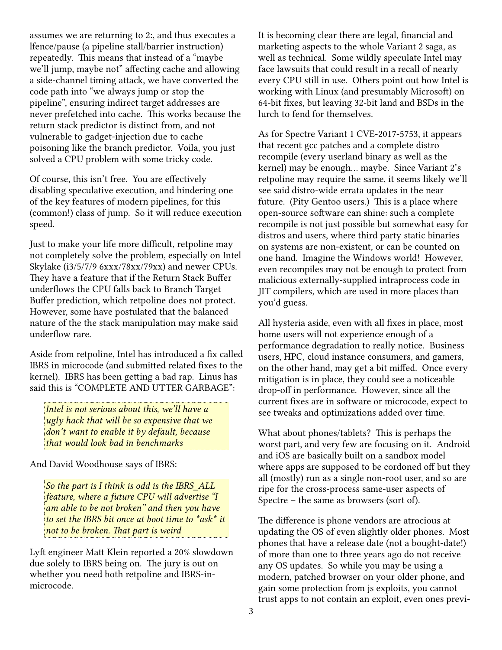assumes we are returning to 2:, and thus executes a lfence/pause (a pipeline stall/barrier instruction) repeatedly. This means that instead of a "maybe we'll jump, maybe not" affecting cache and allowing a side-channel timing attack, we have converted the code path into "we always jump or stop the pipeline", ensuring indirect target addresses are never prefetched into cache. This works because the return stack predictor is distinct from, and not vulnerable to gadget-injection due to cache poisoning like the branch predictor. Voila, you just solved a CPU problem with some tricky code.

Of course, this isn't free. You are effectively disabling speculative execution, and hindering one of the key features of modern pipelines, for this (common!) class of jump. So it will reduce execution speed.

Just to make your life more difficult, retpoline may not completely solve the problem, especially on Intel Skylake (i3/5/7/9 6xxx/78xx/79xx) and newer CPUs. They have a feature that if the Return Stack Buffer underflows the CPU falls back to Branch Target Buffer prediction, which retpoline does not protect. However, some have postulated that the balanced nature of the the stack manipulation may make said underflow rare.

Aside from retpoline, Intel has introduced a fix called IBRS in microcode (and submitted related fixes to the kernel). IBRS has been getting a bad rap. Linus has said this is "COMPLETE AND UTTER GARBAGE":

*Intel is not serious about this, we'll have a ugly hack that will be so expensive that we don't want to enable it by default, because that would look bad in benchmarks*

And David Woodhouse says of IBRS:

*So the part is I think is odd is the IBRS\_ALL feature, where a future CPU will advertise "I am able to be not broken" and then you have to set the IBRS bit once at boot time to \*ask\* it not to be broken. That part is weird*

Lyft engineer Matt Klein reported a 20% slowdown due solely to IBRS being on. The jury is out on whether you need both retpoline and IBRS-inmicrocode.

It is becoming clear there are legal, financial and marketing aspects to the whole Variant 2 saga, as well as technical. Some wildly speculate Intel may face lawsuits that could result in a recall of nearly every CPU still in use. Others point out how Intel is working with Linux (and presumably Microsoft) on 64-bit fixes, but leaving 32-bit land and BSDs in the lurch to fend for themselves.

As for Spectre Variant 1 CVE-2017-5753, it appears that recent gcc patches and a complete distro recompile (every userland binary as well as the kernel) may be enough… maybe. Since Variant 2's retpoline may require the same, it seems likely we'll see said distro-wide errata updates in the near future. (Pity Gentoo users.) This is a place where open-source software can shine: such a complete recompile is not just possible but somewhat easy for distros and users, where third party static binaries on systems are non-existent, or can be counted on one hand. Imagine the Windows world! However, even recompiles may not be enough to protect from malicious externally-supplied intraprocess code in JIT compilers, which are used in more places than you'd guess.

All hysteria aside, even with all fixes in place, most home users will not experience enough of a performance degradation to really notice. Business users, HPC, cloud instance consumers, and gamers, on the other hand, may get a bit miffed. Once every mitigation is in place, they could see a noticeable drop-off in performance. However, since all the current fixes are in software or microcode, expect to see tweaks and optimizations added over time.

What about phones/tablets? This is perhaps the worst part, and very few are focusing on it. Android and iOS are basically built on a sandbox model where apps are supposed to be cordoned off but they all (mostly) run as a single non-root user, and so are ripe for the cross-process same-user aspects of Spectre – the same as browsers (sort of).

The difference is phone vendors are atrocious at updating the OS of even slightly older phones. Most phones that have a release date (not a bought-date!) of more than one to three years ago do not receive any OS updates. So while you may be using a modern, patched browser on your older phone, and gain some protection from js exploits, you cannot trust apps to not contain an exploit, even ones previ